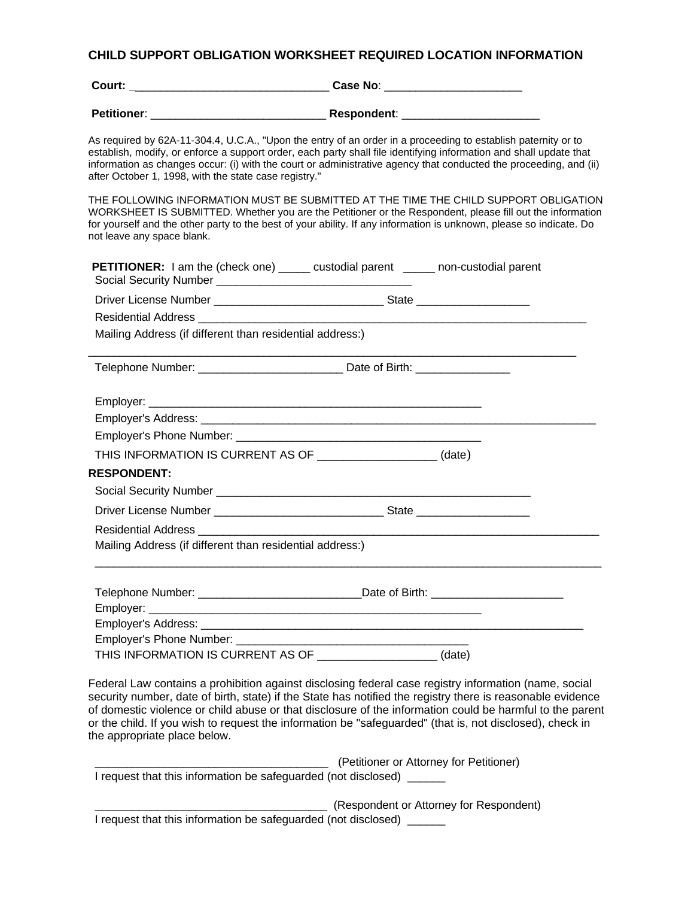## **CHILD SUPPORT OBLIGATION WORKSHEET REQUIRED LOCATION INFORMATION**

| Court:             | Case No:    |
|--------------------|-------------|
| <b>Petitioner:</b> | Respondent: |

As required by 62A-11-304.4, U.C.A., "Upon the entry of an order in a proceeding to establish paternity or to establish, modify, or enforce a support order, each party shall file identifying information and shall update that information as changes occur: (i) with the court or administrative agency that conducted the proceeding, and (ii) after October 1, 1998, with the state case registry."

THE FOLLOWING INFORMATION MUST BE SUBMITTED AT THE TIME THE CHILD SUPPORT OBLIGATION WORKSHEET IS SUBMITTED. Whether you are the Petitioner or the Respondent, please fill out the information for yourself and the other party to the best of your ability. If any information is unknown, please so indicate. Do not leave any space blank.

| <b>PETITIONER:</b> I am the (check one) _____ custodial parent _____ non-custodial parent |  |
|-------------------------------------------------------------------------------------------|--|
|                                                                                           |  |
|                                                                                           |  |
| Mailing Address (if different than residential address:)                                  |  |
|                                                                                           |  |
|                                                                                           |  |
|                                                                                           |  |
|                                                                                           |  |
| THIS INFORMATION IS CURRENT AS OF _____________________(date)                             |  |
| <b>RESPONDENT:</b>                                                                        |  |
|                                                                                           |  |
|                                                                                           |  |
|                                                                                           |  |
| Mailing Address (if different than residential address:)                                  |  |
|                                                                                           |  |
|                                                                                           |  |
|                                                                                           |  |
|                                                                                           |  |
|                                                                                           |  |
| THIS INFORMATION IS CURRENT AS OF ___________________(date)                               |  |

Federal Law contains a prohibition against disclosing federal case registry information (name, social security number, date of birth, state) if the State has notified the registry there is reasonable evidence of domestic violence or child abuse or that disclosure of the information could be harmful to the parent or the child. If you wish to request the information be "safeguarded" (that is, not disclosed), check in the appropriate place below.

 \_\_\_\_\_\_\_\_\_\_\_\_\_\_\_\_\_\_\_\_\_\_\_\_\_\_\_\_\_\_\_\_\_\_\_\_\_ (Petitioner or Attorney for Petitioner) I request that this information be safeguarded (not disclosed) \_\_\_\_\_\_

 \_\_\_\_\_\_\_\_\_\_\_\_\_\_\_\_\_\_\_\_\_\_\_\_\_\_\_\_\_\_\_\_\_\_\_\_\_ (Respondent or Attorney for Respondent) I request that this information be safeguarded (not disclosed) \_\_\_\_\_\_